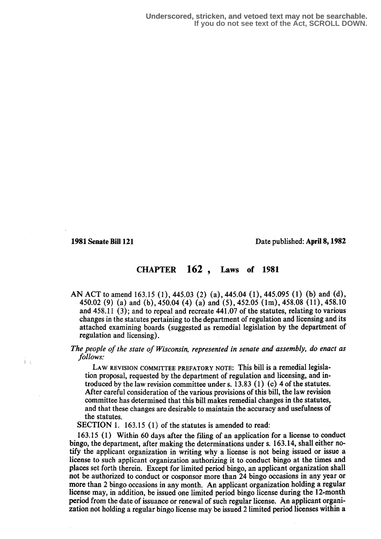<sup>i</sup> .

1981 Senate Bill 121 Date published : April 8,1982

## CHAPTER 162 , Laws of 1881

AN ACT to amend 163.15 (1), 445.03 (2) (a), 445.04 (1), 445.095 (1) (b) and (d), 450.02 (9) (a) and (b), 450.04 (4) (a) and (5), 452.05 (lm), 458.08 (11), 458.10 and  $458.11$  (3); and to repeal and recreate  $441.07$  of the statutes, relating to various changes in the statutes pertaining to the department of regulation and licensing and its attached examining boards (suggested as remedial legislation by the department of regulation and licensing) .

The people of the state of Wisconsin, represented in senate and assembly, do enact as follows:

LAW REVISION COMMITTEE PREFATORY NOTE: This bill is a remedial legislation proposal, requested by the department of regulation and licensing, and introduced by the law revision committee under s.  $13.83$  (1) (c) 4 of the statutes. After careful consideration of the various provisions of this bill, the law revision committee has determined that this bill makes remedial changes in the statutes, and that these changes are desirable to maintain the accuracy and usefulness of the statutes.

SECTION 1. 163.15 (1) of the statutes is amended to read:

163.15 (1) Within 60 days after the filing of an application for a license to conduct bingo, the department, after making the determinations under s. 163.14, shall either notify the applicant organization in writing why a license is not being issued or issue a license to such applicant organization authorizing it to conduct bingo at the times and places set forth therein. Except for limited period bingo, an applicant organization shall not be authorized to conduct or cosponsor more than 24 bingo occasions in any year or more than 2 bingo occasions in any month. An applicant organization holding a regular license may, in addition, be issued one limited period bingo license during the 12-month period from the date of issuance or renewal of such regular license. An applicant organization not holding a regular bingo license may be issued 2 limited period licenses within a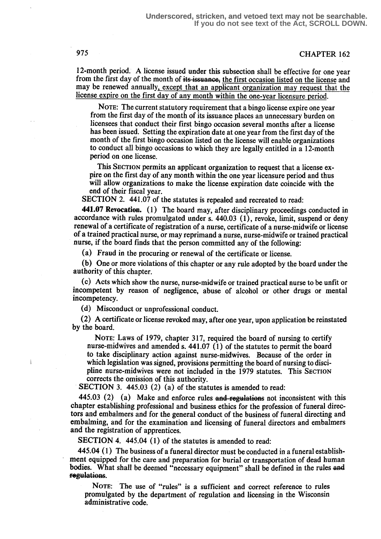## 975 CHAPTER 162

12-month period: A license issued under this subsection shall be effective for one year from the first day of the month of its issuance, the first occasion listed on the license and may be renewed annually, except that an applicant organization may request that the license expire on the first day of any month within the one-year licensure eriod.

NOTE: The current statutory requirement that a bingo license expire one year from the first day of the month of its issuance places an unnecessary burden on licensees that conduct their first bingo occasion several months after a license has been issued. Setting the expiration date at one year from the first day of the month of the first bingo occasion listed on the license will enable organizations to conduct all bingo occasions to which they are legally entitled in a 12-month period on one license.

This SECTION permits an applicant organization to request that a license expire on the first day of any month within the one year licensure period and thus will allow organizations to make the license expiration date coincide with the end of their fiscal year.

SECTION 2. 441.07 of the statutes is repealed and recreated to read:

441.07 Revocation. (1) The board may, after disciplinary proceedings conducted in accordance with rules promulgated under s.  $440.03$  (1), revoke, limit, suspend or deny renewal of a certificate of registration of a nurse, certificate of a nurse-midwife or license of a trained practical nurse, or may reprimand a nurse, nurse-midwife or trained practical nurse, if the board finds that the person committed any of the following:

(a) Fraud in the procuring or renewal of the certificate or license.

(b) One or more violations of this chapter or any rule adopted by the board under the authority of this chapter.

(c) Acts which show the nurse, nurse-midwife or trained practical nurse to be unfit or incompetent by reason of negligence, abuse of alcohol or other drugs or mental incompetency.

(d) Misconduct or unprofessional conduct.

(2) A certificate or license revoked may, after one year, upon application be reinstated by the board.

NOTE: Laws of 1979, chapter 317, required the board of nursing to certify nurse-midwives and amended s.  $441.07$  (1) of the statutes to permit the board to take disciplinary action against nurse-midwives. Because of the order in which legislation was signed, provisions permitting the board of nursing to discipline nurse-midwives were not included in the 1979 statutes. This SECTION corrects the omission of this authority.

SECTION 3. 445.03 (2) (a) of the statutes is amended to read:

445.03 (2) (a) Make and enforce rules and regulations not inconsistent with this chapter establishing professional and business ethics fox the profession of funeral directors and embalmers and for the general conduct of the business of funeral directing and embalming, and for the examination and licensing of funeral directors and embalmers and the registration of apprentices.

SECTION 4. 445.04 (1) of the statutes is amended to read:

445.04 (1) The business of a funeral director must be conducted in a funeral establishment equipped for the care and preparation for burial or transportation of dead human bodies. What shall be deemed "necessary equipment" shall be defined in the rules and regulations.

NOTE: The use of "rules" is a sufficient and correct reference to rules promulgated by the department of regulation and licensing in the Wisconsin administrative code.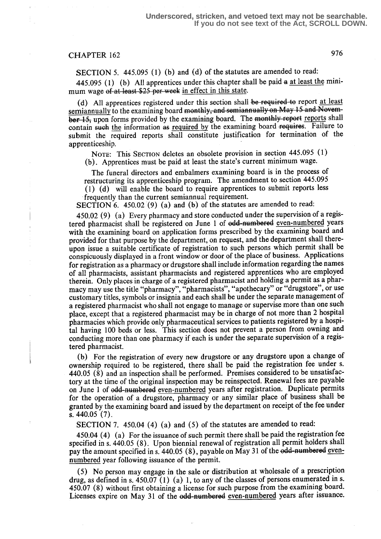## CHAPTER 162 976

SECTION 5. 445.095 (1) (b) and (d) of the statutes are amended to read:

445.095 (1) (b) All apprentices under this chapter shall be paid  $a$  at least the minimum wage of at least \$25 per week in effect in this state.

(d) All apprentices registered under this section shall be required to report at least semiannually to the examining board monthly, and semiannually on May  $15$  and Novem-(d) All apprentices registered under this section shall be required to report at least<br>semiannually to the examining board monthly, and semiannually on May 15 and Novem-<br>ber-15, upon forms provided by the examining board. contain such the information as required by the examining board requires. Failure to submit the required reports shall constitute justification for termination of the apprenticeship.

NOTE: This SECTION deletes an obsolete provision in section 445.095 (1) (b) . Apprentices must be paid at least the state's current minimum wage.

The funeral directors and embalmers examining board is in the process of restructuring its apprenticeship program. The amendment to section 445.095 (1) (d) will enable the board to require apprentices to submit reports less

frequently than the current semiannual requirement.

SECTION 6. 450.02 (9) (a) and (b) of the statutes are amended to read:

450.02 (9) (a) Every pharmacy and store conducted under the supervision of a registered pharmacist shall be registered on June 1 of odd-numbered even-numbered years with the examining board on application forms prescribed by the examining board and provided for that purpose by the department, on request, and the department shall thereupon issue a suitable certificate of registration to such persons which permit shall be conspicuously displayed in a front window or door of the place of business. Applications for registration as a pharmacy or drugstore shall include information regarding the names of all pharmacists, assistant pharmacists and registered apprentices who are employed therein. Only places in charge of a registered pharmacist and holding a permit as a pharmacy may use the title "pharmacy", "pharmacists", "apothecary" or "drugstore", or use customary titles, symbols or insignia and each shall be under the separate management of a registered pharmacist who shall not engage to manage or supervise more than one such place, except that a registered pharmacist may be in charge of not more than 2 hospital pharmacies which provide only pharmaceutical services to patients registered by a hospital having 100 beds or less. This section does not prevent a person from owning and conducting more than one pharmacy if each is under the separate supervision of a registered pharmacist.

(b) For the registration of every new drugstore or any drugstore upon a change of ownership required to be registered, there shall be paid the registration fee under s. 440.05 (8) and an inspection shall be performed. Premises considered to be unsatisfactory at the time of the original inspection may be reinspected. Renewal fees are payable on June 1 of odd-numbered even-numbered years after registration. Duplicate permits for the operation of a drugstore, pharmacy or any similar place of business shall be granted by the examining board and issued by the department on receipt of the fee under s. 440.05 (7).

SECTION 7. 450.04 (4) (a) and (5) of the statutes are amended to read:

450.04 (4) (a) For the issuance of such permit there shall be paid the registration fee specified in s. 440.05 (8) . Upon biennial renewal of registration all permit holders shall pay the amount specified in s. 440.05 (8), payable on May 31 of the edd-numbered evennumbered year following issuance of the permit.

(5) No person may engage in the sale or distribution at wholesale of a prescription drug, as defined in s. 450.07 (1) (a) 1, to any of the classes of persons enumerated in s. 450.07 (8) without first obtaining a license for such purpose from the examining board. Licenses expire on May 31 of the odd-numbered even-numbered years after issuance.